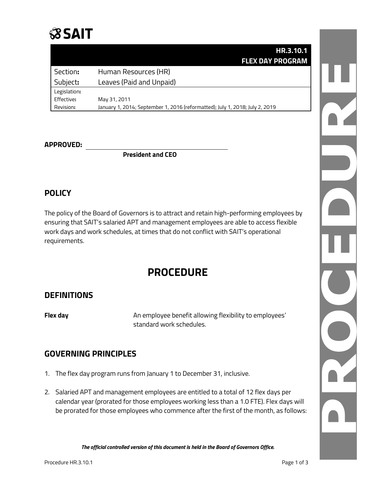## **SSAIT**

|              | HR.3.10.1                                                                    |
|--------------|------------------------------------------------------------------------------|
|              | <b>FLEX DAY PROGRAM</b>                                                      |
| Section:     | Human Resources (HR)                                                         |
| Subject:     | Leaves (Paid and Unpaid)                                                     |
| Legislation: |                                                                              |
| Effective:   | May 31, 2011                                                                 |
| Revision:    | January 1, 2014; September 1, 2016 (reformatted); July 1, 2018; July 2, 2019 |

#### **APPROVED:**

**President and CEO**

#### **POLICY**

The policy of the Board of Governors is to attract and retain high-performing employees by ensuring that SAIT's salaried APT and management employees are able to access flexible work days and work schedules, at times that do not conflict with SAIT's operational requirements.

### **PROCEDURE**

#### **DEFINITIONS**

**Flex day An employee benefit allowing flexibility to employees'** standard work schedules.

#### **GOVERNING PRINCIPLES**

- 1. The flex day program runs from January 1 to December 31, inclusive.
- 2. Salaried APT and management employees are entitled to a total of 12 flex days per calendar year (prorated for those employees working less than a 1.0 FTE). Flex days will be prorated for those employees who commence after the first of the month, as follows:

*The official controlled version of this document is held in the Board of Governors Office.*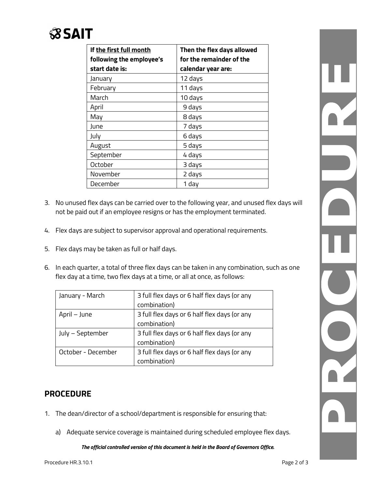# **SSAIT**

| If the first full month<br>following the employee's | Then the flex days allowed<br>for the remainder of the |
|-----------------------------------------------------|--------------------------------------------------------|
| start date is:                                      | calendar year are:                                     |
| January                                             | 12 days                                                |
| February                                            | 11 days                                                |
| March                                               | 10 days                                                |
| April                                               | 9 days                                                 |
| May                                                 | 8 days                                                 |
| June                                                | 7 days                                                 |
| July                                                | 6 days                                                 |
| August                                              | 5 days                                                 |
| September                                           | 4 days                                                 |
| October                                             | 3 days                                                 |
| November                                            | 2 days                                                 |
| December                                            | 1 day                                                  |

- 3. No unused flex days can be carried over to the following year, and unused flex days will not be paid out if an employee resigns or has the employment terminated.
- 4. Flex days are subject to supervisor approval and operational requirements.
- 5. Flex days may be taken as full or half days.
- 6. In each quarter, a total of three flex days can be taken in any combination, such as one flex day at a time, two flex days at a time, or all at once, as follows:

| January - March    | 3 full flex days or 6 half flex days (or any |
|--------------------|----------------------------------------------|
|                    | combination)                                 |
| April – June       | 3 full flex days or 6 half flex days (or any |
|                    | combination)                                 |
| July – September   | 3 full flex days or 6 half flex days (or any |
|                    | combination)                                 |
| October - December | 3 full flex days or 6 half flex days (or any |
|                    | combination)                                 |

#### **PROCEDURE**

- 1. The dean/director of a school/department is responsible for ensuring that:
	- a) Adequate service coverage is maintained during scheduled employee flex days.

*The official controlled version of this document is held in the Board of Governors Office.*

R